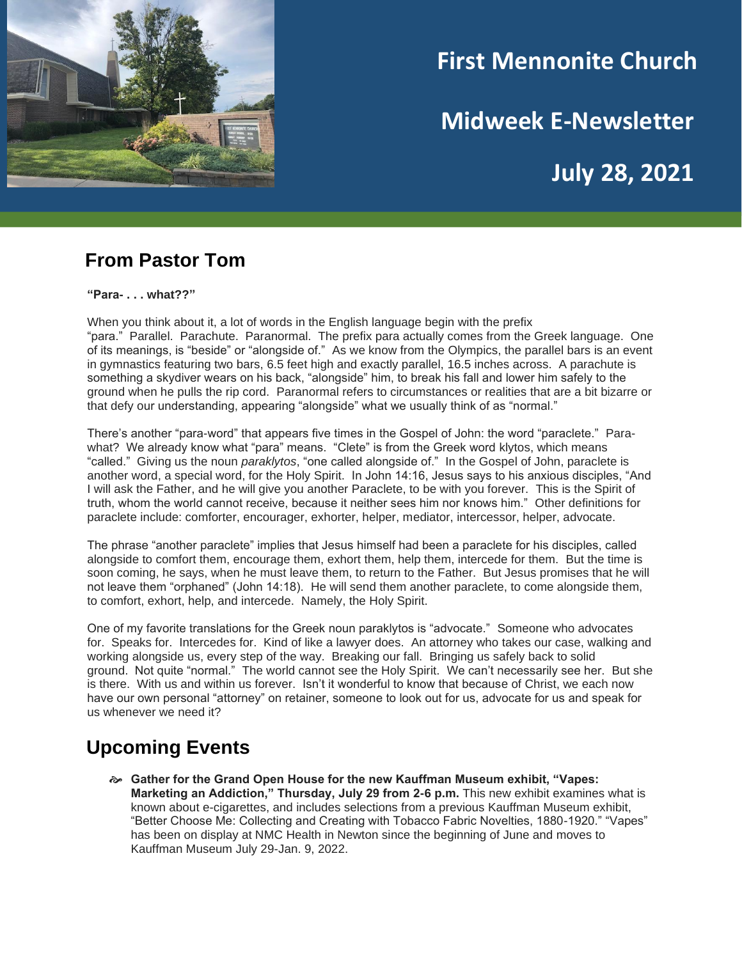

# **First Mennonite Church**

**Midweek E-Newsletter**

**July 28, 2021**

#### **From Pastor Tom**

**"Para- . . . what??"**

When you think about it, a lot of words in the English language begin with the prefix "para." Parallel. Parachute. Paranormal. The prefix para actually comes from the Greek language. One of its meanings, is "beside" or "alongside of." As we know from the Olympics, the parallel bars is an event in gymnastics featuring two bars, 6.5 feet high and exactly parallel, 16.5 inches across. A parachute is something a skydiver wears on his back, "alongside" him, to break his fall and lower him safely to the ground when he pulls the rip cord. Paranormal refers to circumstances or realities that are a bit bizarre or that defy our understanding, appearing "alongside" what we usually think of as "normal."

There's another "para-word" that appears five times in the Gospel of John: the word "paraclete." Parawhat? We already know what "para" means. "Clete" is from the Greek word klytos, which means "called." Giving us the noun *paraklytos*, "one called alongside of." In the Gospel of John, paraclete is another word, a special word, for the Holy Spirit. In John 14:16, Jesus says to his anxious disciples, "And I will ask the Father, and he will give you another Paraclete, to be with you forever. This is the Spirit of truth, whom the world cannot receive, because it neither sees him nor knows him." Other definitions for paraclete include: comforter, encourager, exhorter, helper, mediator, intercessor, helper, advocate.

The phrase "another paraclete" implies that Jesus himself had been a paraclete for his disciples, called alongside to comfort them, encourage them, exhort them, help them, intercede for them. But the time is soon coming, he says, when he must leave them, to return to the Father. But Jesus promises that he will not leave them "orphaned" (John 14:18). He will send them another paraclete, to come alongside them, to comfort, exhort, help, and intercede. Namely, the Holy Spirit.

One of my favorite translations for the Greek noun paraklytos is "advocate." Someone who advocates for. Speaks for. Intercedes for. Kind of like a lawyer does. An attorney who takes our case, walking and working alongside us, every step of the way. Breaking our fall. Bringing us safely back to solid ground. Not quite "normal." The world cannot see the Holy Spirit. We can't necessarily see her. But she is there. With us and within us forever. Isn't it wonderful to know that because of Christ, we each now have our own personal "attorney" on retainer, someone to look out for us, advocate for us and speak for us whenever we need it?

## **Upcoming Events**

 **Gather for the Grand Open House for the new Kauffman Museum exhibit, "Vapes: Marketing an Addiction," Thursday, July 29 from 2-6 p.m.** This new exhibit examines what is known about e-cigarettes, and includes selections from a previous Kauffman Museum exhibit, "Better Choose Me: Collecting and Creating with Tobacco Fabric Novelties, 1880-1920." "Vapes" has been on display at NMC Health in Newton since the beginning of June and moves to Kauffman Museum July 29-Jan. 9, 2022.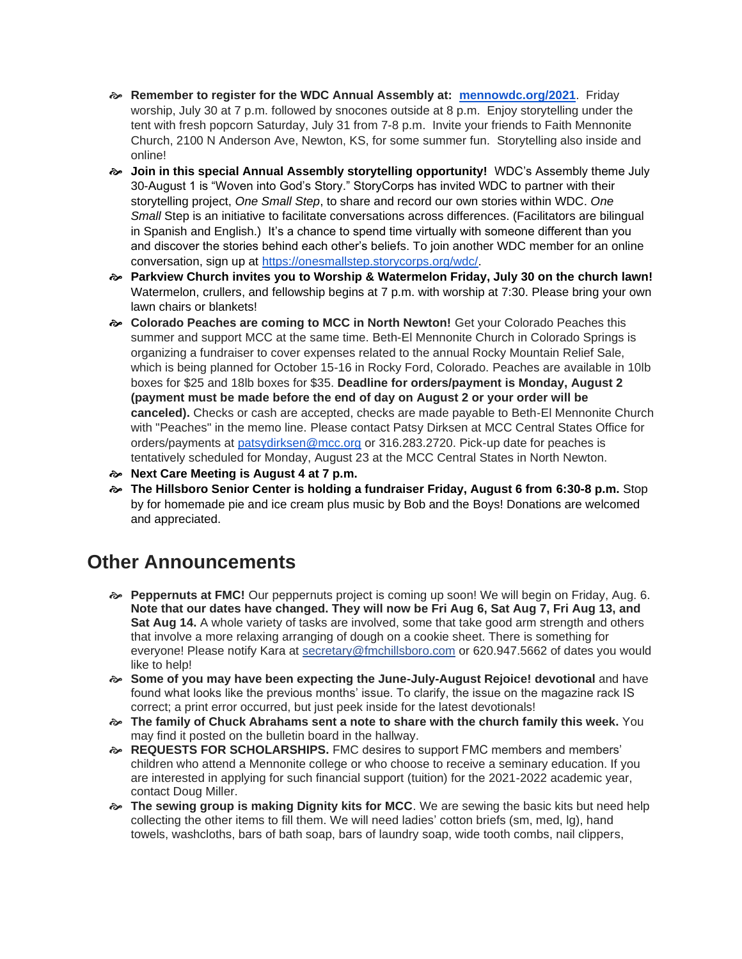- **Remember to register for the WDC Annual Assembly at: [mennowdc.org/2021](http://mennowdc.org/2021)**. Friday worship, July 30 at 7 p.m. followed by snocones outside at 8 p.m. Enjoy storytelling under the tent with fresh popcorn Saturday, July 31 from 7-8 p.m. Invite your friends to Faith Mennonite Church, 2100 N Anderson Ave, Newton, KS, for some summer fun. Storytelling also inside and online!
- **Join in this special Annual Assembly storytelling opportunity!** WDC's Assembly theme July 30-August 1 is "Woven into God's Story." StoryCorps has invited WDC to partner with their storytelling project, *One Small Step*, to share and record our own stories within WDC. *One Small* Step is an initiative to facilitate conversations across differences. (Facilitators are bilingual in Spanish and English.) It's a chance to spend time virtually with someone different than you and discover the stories behind each other's beliefs. To join another WDC member for an online conversation, sign up at [https://onesmallstep.storycorps.org/wdc/.](https://onesmallstep.storycorps.org/wdc/)
- **Parkview Church invites you to Worship & Watermelon Friday, July 30 on the church lawn!**  Watermelon, crullers, and fellowship begins at 7 p.m. with worship at 7:30. Please bring your own lawn chairs or blankets!
- **Colorado Peaches are coming to MCC in North Newton!** Get your Colorado Peaches this summer and support MCC at the same time. Beth-El Mennonite Church in Colorado Springs is organizing a fundraiser to cover expenses related to the annual Rocky Mountain Relief Sale, which is being planned for October 15-16 in Rocky Ford, Colorado. Peaches are available in 10lb boxes for \$25 and 18lb boxes for \$35. **Deadline for orders/payment is Monday, August 2 (payment must be made before the end of day on August 2 or your order will be canceled).** Checks or cash are accepted, checks are made payable to Beth-El Mennonite Church with "Peaches" in the memo line. Please contact Patsy Dirksen at MCC Central States Office for orders/payments at [patsydirksen@mcc.org](mailto:patsydirksen@mcc.org) or 316.283.2720. Pick-up date for peaches is tentatively scheduled for Monday, August 23 at the MCC Central States in North Newton.
- **Next Care Meeting is August 4 at 7 p.m.**
- **The Hillsboro Senior Center is holding a fundraiser Friday, August 6 from 6:30-8 p.m.** Stop by for homemade pie and ice cream plus music by Bob and the Boys! Donations are welcomed and appreciated.

#### **Other Announcements**

- **Peppernuts at FMC!** Our peppernuts project is coming up soon! We will begin on Friday, Aug. 6. **Note that our dates have changed. They will now be Fri Aug 6, Sat Aug 7, Fri Aug 13, and Sat Aug 14.** A whole variety of tasks are involved, some that take good arm strength and others that involve a more relaxing arranging of dough on a cookie sheet. There is something for everyone! Please notify Kara at secretary@fmchillsboro.com or 620.947.5662 of dates you would like to help!
- **Some of you may have been expecting the June-July-August Rejoice! devotional** and have found what looks like the previous months' issue. To clarify, the issue on the magazine rack IS correct; a print error occurred, but just peek inside for the latest devotionals!
- **The family of Chuck Abrahams sent a note to share with the church family this week.** You may find it posted on the bulletin board in the hallway.
- **REQUESTS FOR SCHOLARSHIPS.** FMC desires to support FMC members and members' children who attend a Mennonite college or who choose to receive a seminary education. If you are interested in applying for such financial support (tuition) for the 2021-2022 academic year, contact Doug Miller.
- **The sewing group is making Dignity kits for MCC**. We are sewing the basic kits but need help collecting the other items to fill them. We will need ladies' cotton briefs (sm, med, lg), hand towels, washcloths, bars of bath soap, bars of laundry soap, wide tooth combs, nail clippers,